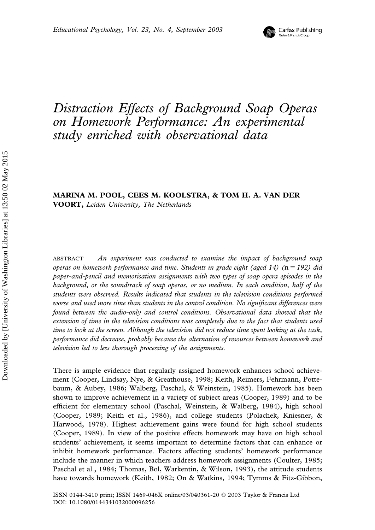

# *Distraction Effects of Background Soap Operas on Homework Performance: An experimental study enriched with observational data*

# **MARINA M. POOL, CEES M. KOOLSTRA, & TOM H. A. VAN DER VOORT,** *Leiden University, The Netherlands*

ABSTRACT *An experiment was conducted to examine the impact of background soap* operas on homework performance and time. Students in grade eight (aged 14) (n = 192) did *paper-and-pencil and memorisation assignments with two types of soap opera episodes in the background, or the soundtrack of soap operas, or no medium. In each condition, half of the students were observed. Results indicated that students in the television conditions performed worse and used more time than students in the control condition. No significant differences were found between the audio-only and control conditions. Observational data showed that the extension of time in the television conditions was completely due to the fact that students used time to look at the screen. Although the television did not reduce time spent looking at the task, performance did decrease, probably because the alternation of resources between homework and television led to less thorough processing of the assignments.*

There is ample evidence that regularly assigned homework enhances school achievement (Cooper, Lindsay, Nye, & Greathouse, 1998; Keith, Reimers, Fehrmann, Pottebaum, & Aubey, 1986; Walberg, Paschal, & Weinstein, 1985). Homework has been shown to improve achievement in a variety of subject areas (Cooper, 1989) and to be efficient for elementary school (Paschal, Weinstein, & Walberg, 1984), high school (Cooper, 1989; Keith et al., 1986), and college students (Polachek, Kniesner, & Harwood, 1978). Highest achievement gains were found for high school students (Cooper, 1989). In view of the positive effects homework may have on high school students' achievement, it seems important to determine factors that can enhance or inhibit homework performance. Factors affecting students' homework performance include the manner in which teachers address homework assignments (Coulter, 1985; Paschal et al., 1984; Thomas, Bol, Warkentin, & Wilson, 1993), the attitude students have towards homework (Keith, 1982; On & Watkins, 1994; Tymms & Fitz-Gibbon,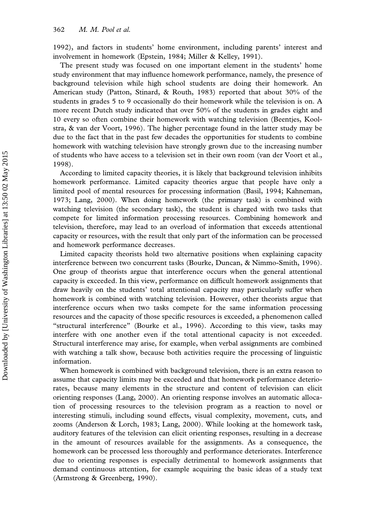1992), and factors in students' home environment, including parents' interest and involvement in homework (Epstein, 1984; Miller & Kelley, 1991).

The present study was focused on one important element in the students' home study environment that may influence homework performance, namely, the presence of background television while high school students are doing their homework. An American study (Patton, Stinard, & Routh, 1983) reported that about 30% of the students in grades 5 to 9 occasionally do their homework while the television is on. A more recent Dutch study indicated that over 50% of the students in grades eight and 10 every so often combine their homework with watching television (Beentjes, Koolstra, & van der Voort, 1996). The higher percentage found in the latter study may be due to the fact that in the past few decades the opportunities for students to combine homework with watching television have strongly grown due to the increasing number of students who have access to a television set in their own room (van der Voort et al., 1998).

According to limited capacity theories, it is likely that background television inhibits homework performance. Limited capacity theories argue that people have only a limited pool of mental resources for processing information (Basil, 1994; Kahneman, 1973; Lang, 2000). When doing homework (the primary task) is combined with watching television (the secondary task), the student is charged with two tasks that compete for limited information processing resources. Combining homework and television, therefore, may lead to an overload of information that exceeds attentional capacity or resources, with the result that only part of the information can be processed and homework performance decreases.

Limited capacity theorists hold two alternative positions when explaining capacity interference between two concurrent tasks (Bourke, Duncan, & Nimmo-Smith, 1996). One group of theorists argue that interference occurs when the general attentional capacity is exceeded. In this view, performance on difficult homework assignments that draw heavily on the students' total attentional capacity may particularly suffer when homework is combined with watching television. However, other theorists argue that interference occurs when two tasks compete for the same information processing resources and the capacity of those specific resources is exceeded, a phenomenon called "structural interference" (Bourke et al., 1996). According to this view, tasks may interfere with one another even if the total attentional capacity is not exceeded. Structural interference may arise, for example, when verbal assignments are combined with watching a talk show, because both activities require the processing of linguistic information.

When homework is combined with background television, there is an extra reason to assume that capacity limits may be exceeded and that homework performance deteriorates, because many elements in the structure and content of television can elicit orienting responses (Lang, 2000). An orienting response involves an automatic allocation of processing resources to the television program as a reaction to novel or interesting stimuli, including sound effects, visual complexity, movement, cuts, and zooms (Anderson & Lorch, 1983; Lang, 2000). While looking at the homework task, auditory features of the television can elicit orienting responses, resulting in a decrease in the amount of resources available for the assignments. As a consequence, the homework can be processed less thoroughly and performance deteriorates. Interference due to orienting responses is especially detrimental to homework assignments that demand continuous attention, for example acquiring the basic ideas of a study text (Armstrong & Greenberg, 1990).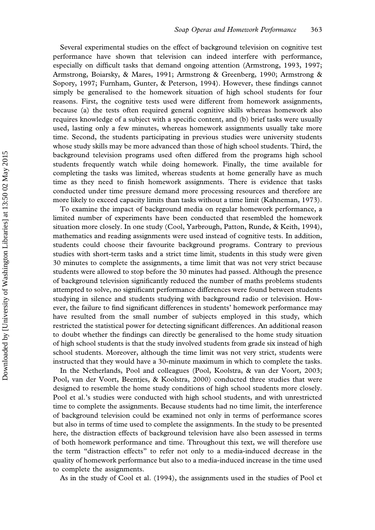Several experimental studies on the effect of background television on cognitive test performance have shown that television can indeed interfere with performance, especially on difficult tasks that demand ongoing attention (Armstrong, 1993, 1997; Armstrong, Boiarsky, & Mares, 1991; Armstrong & Greenberg, 1990; Armstrong & Sopory, 1997; Furnham, Gunter, & Peterson, 1994). However, these findings cannot simply be generalised to the homework situation of high school students for four reasons. First, the cognitive tests used were different from homework assignments, because (a) the tests often required general cognitive skills whereas homework also requires knowledge of a subject with a specific content, and (b) brief tasks were usually used, lasting only a few minutes, whereas homework assignments usually take more time. Second, the students participating in previous studies were university students whose study skills may be more advanced than those of high school students. Third, the background television programs used often differed from the programs high school students frequently watch while doing homework. Finally, the time available for completing the tasks was limited, whereas students at home generally have as much time as they need to finish homework assignments. There is evidence that tasks conducted under time pressure demand more processing resources and therefore are more likely to exceed capacity limits than tasks without a time limit (Kahneman, 1973).

To examine the impact of background media on regular homework performance, a limited number of experiments have been conducted that resembled the homework situation more closely. In one study (Cool, Yarbrough, Patton, Runde, & Keith, 1994), mathematics and reading assignments were used instead of cognitive tests. In addition, students could choose their favourite background programs. Contrary to previous studies with short-term tasks and a strict time limit, students in this study were given 30 minutes to complete the assignments, a time limit that was not very strict because students were allowed to stop before the 30 minutes had passed. Although the presence of background television significantly reduced the number of maths problems students attempted to solve, no significant performance differences were found between students studying in silence and students studying with background radio or television. However, the failure to find significant differences in students' homework performance may have resulted from the small number of subjects employed in this study, which restricted the statistical power for detecting significant differences. An additional reason to doubt whether the findings can directly be generalised to the home study situation of high school students is that the study involved students from grade six instead of high school students. Moreover, although the time limit was not very strict, students were instructed that they would have a 30-minute maximum in which to complete the tasks.

In the Netherlands, Pool and colleagues (Pool, Koolstra, & van der Voort, 2003; Pool, van der Voort, Beentjes, & Koolstra, 2000) conducted three studies that were designed to resemble the home study conditions of high school students more closely. Pool et al.'s studies were conducted with high school students, and with unrestricted time to complete the assignments. Because students had no time limit, the interference of background television could be examined not only in terms of performance scores but also in terms of time used to complete the assignments. In the study to be presented here, the distraction effects of background television have also been assessed in terms of both homework performance and time. Throughout this text, we will therefore use the term "distraction effects" to refer not only to a media-induced decrease in the quality of homework performance but also to a media-induced increase in the time used to complete the assignments.

As in the study of Cool et al. (1994), the assignments used in the studies of Pool et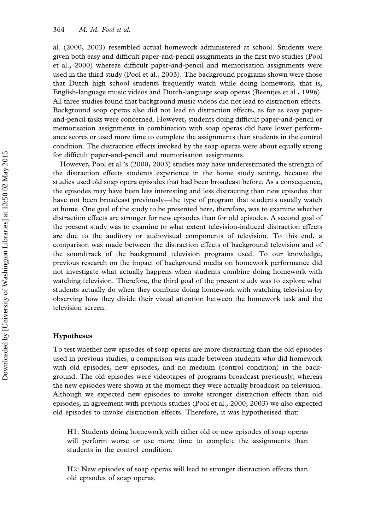al. (2000, 2003) resembled actual homework administered at school. Students were given both easy and difficult paper-and-pencil assignments in the first two studies (Pool et al., 2000) whereas difficult paper-and-pencil and memorisation assignments were used in the third study (Pool et al., 2003). The background programs shown were those that Dutch high school students frequently watch while doing homework, that is, English-language music videos and Dutch-language soap operas (Beentjes et al., 1996). All three studies found that background music videos did not lead to distraction effects. Background soap operas also did not lead to distraction effects, as far as easy paperand-pencil tasks were concerned. However, students doing difficult paper-and-pencil or memorisation assignments in combination with soap operas did have lower performance scores or used more time to complete the assignments than students in the control condition. The distraction effects invoked by the soap operas were about equally strong for difficult paper-and-pencil and memorisation assignments.

However, Pool et al.'s (2000, 2003) studies may have underestimated the strength of the distraction effects students experience in the home study setting, because the studies used old soap opera episodes that had been broadcast before. As a consequence, the episodes may have been less interesting and less distracting than new episodes that have not been broadcast previously—the type of program that students usually watch at home. One goal of the study to be presented here, therefore, was to examine whether distraction effects are stronger for new episodes than for old episodes. A second goal of the present study was to examine to what extent television-induced distraction effects are due to the auditory or audiovisual components of television. To this end, a comparison was made between the distraction effects of background television and of the soundtrack of the background television programs used. To our knowledge, previous research on the impact of background media on homework performance did not investigate what actually happens when students combine doing homework with watching television. Therefore, the third goal of the present study was to explore what students actually do when they combine doing homework with watching television by observing how they divide their visual attention between the homework task and the television screen.

## **Hypotheses**

To test whether new episodes of soap operas are more distracting than the old episodes used in previous studies, a comparison was made between students who did homework with old episodes, new episodes, and no medium (control condition) in the background. The old episodes were videotapes of programs broadcast previously, whereas the new episodes were shown at the moment they were actually broadcast on television. Although we expected new episodes to invoke stronger distraction effects than old episodes, in agreement with previous studies (Pool et al., 2000, 2003) we also expected old episodes to invoke distraction effects. Therefore, it was hypothesised that:

H1: Students doing homework with either old or new episodes of soap operas will perform worse or use more time to complete the assignments than students in the control condition.

H2: New episodes of soap operas will lead to stronger distraction effects than old episodes of soap operas.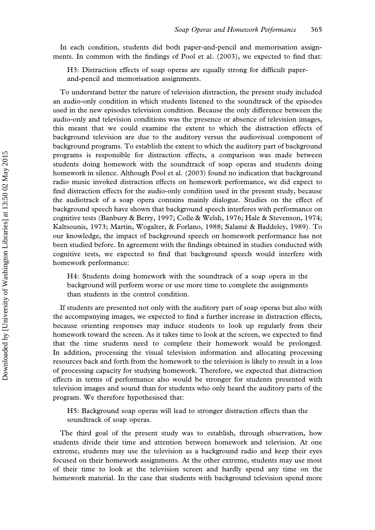In each condition, students did both paper-and-pencil and memorisation assignments. In common with the findings of Pool et al. (2003), we expected to find that:

H3: Distraction effects of soap operas are equally strong for difficult paperand-pencil and memorisation assignments.

To understand better the nature of television distraction, the present study included an audio-only condition in which students listened to the soundtrack of the episodes used in the new episodes television condition. Because the only difference between the audio-only and television conditions was the presence or absence of television images, this meant that we could examine the extent to which the distraction effects of background television are due to the auditory versus the audiovisual component of background programs. To establish the extent to which the auditory part of background programs is responsible for distraction effects, a comparison was made between students doing homework with the soundtrack of soap operas and students doing homework in silence. Although Pool et al. (2003) found no indication that background radio music invoked distraction effects on homework performance, we did expect to find distraction effects for the audio-only condition used in the present study, because the audiotrack of a soap opera contains mainly dialogue. Studies on the effect of background speech have shown that background speech interferes with performance on cognitive tests (Banbury & Berry, 1997; Colle & Welsh, 1976; Hale & Stevenson, 1974; Kaltsounis, 1973; Martin, Wogalter, & Forlano, 1988; Salamé & Baddeley, 1989). To our knowledge, the impact of background speech on homework performance has not been studied before. In agreement with the findings obtained in studies conducted with cognitive tests, we expected to find that background speech would interfere with homework performance:

H4: Students doing homework with the soundtrack of a soap opera in the background will perform worse or use more time to complete the assignments than students in the control condition.

If students are presented not only with the auditory part of soap operas but also with the accompanying images, we expected to find a further increase in distraction effects, because orienting responses may induce students to look up regularly from their homework toward the screen. As it takes time to look at the screen, we expected to find that the time students need to complete their homework would be prolonged. In addition, processing the visual television information and allocating processing resources back and forth from the homework to the television is likely to result in a loss of processing capacity for studying homework. Therefore, we expected that distraction effects in terms of performance also would be stronger for students presented with television images and sound than for students who only heard the auditory parts of the program. We therefore hypothesised that:

H5: Background soap operas will lead to stronger distraction effects than the soundtrack of soap operas.

The third goal of the present study was to establish, through observation, how students divide their time and attention between homework and television. At one extreme, students may use the television as a background radio and keep their eyes focused on their homework assignments. At the other extreme, students may use most of their time to look at the television screen and hardly spend any time on the homework material. In the case that students with background television spend more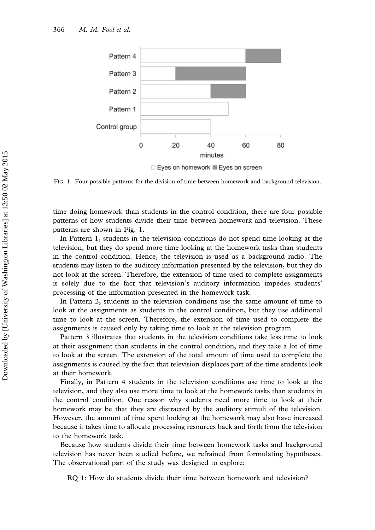

FIG. 1. Four possible patterns for the division of time between homework and background television.

time doing homework than students in the control condition, there are four possible patterns of how students divide their time between homework and television. These patterns are shown in Fig. 1.

In Pattern 1, students in the television conditions do not spend time looking at the television, but they do spend more time looking at the homework tasks than students in the control condition. Hence, the television is used as a background radio. The students may listen to the auditory information presented by the television, but they do not look at the screen. Therefore, the extension of time used to complete assignments is solely due to the fact that television's auditory information impedes students' processing of the information presented in the homework task.

In Pattern 2, students in the television conditions use the same amount of time to look at the assignments as students in the control condition, but they use additional time to look at the screen. Therefore, the extension of time used to complete the assignments is caused only by taking time to look at the television program.

Pattern 3 illustrates that students in the television conditions take less time to look at their assignment than students in the control condition, and they take a lot of time to look at the screen. The extension of the total amount of time used to complete the assignments is caused by the fact that television displaces part of the time students look at their homework.

Finally, in Pattern 4 students in the television conditions use time to look at the television, and they also use more time to look at the homework tasks than students in the control condition. One reason why students need more time to look at their homework may be that they are distracted by the auditory stimuli of the television. However, the amount of time spent looking at the homework may also have increased because it takes time to allocate processing resources back and forth from the television to the homework task.

Because how students divide their time between homework tasks and background television has never been studied before, we refrained from formulating hypotheses. The observational part of the study was designed to explore:

RQ 1: How do students divide their time between homework and television?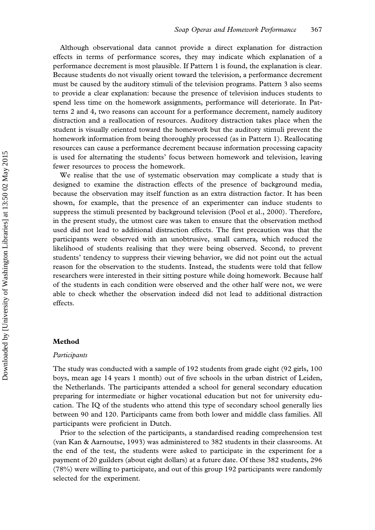Although observational data cannot provide a direct explanation for distraction effects in terms of performance scores, they may indicate which explanation of a performance decrement is most plausible. If Pattern 1 is found, the explanation is clear. Because students do not visually orient toward the television, a performance decrement must be caused by the auditory stimuli of the television programs. Pattern 3 also seems to provide a clear explanation: because the presence of television induces students to spend less time on the homework assignments, performance will deteriorate. In Patterns 2 and 4, two reasons can account for a performance decrement, namely auditory distraction and a reallocation of resources. Auditory distraction takes place when the student is visually oriented toward the homework but the auditory stimuli prevent the homework information from being thoroughly processed (as in Pattern 1). Reallocating resources can cause a performance decrement because information processing capacity is used for alternating the students' focus between homework and television, leaving fewer resources to process the homework.

We realise that the use of systematic observation may complicate a study that is designed to examine the distraction effects of the presence of background media, because the observation may itself function as an extra distraction factor. It has been shown, for example, that the presence of an experimenter can induce students to suppress the stimuli presented by background television (Pool et al., 2000). Therefore, in the present study, the utmost care was taken to ensure that the observation method used did not lead to additional distraction effects. The first precaution was that the participants were observed with an unobtrusive, small camera, which reduced the likelihood of students realising that they were being observed. Second, to prevent students' tendency to suppress their viewing behavior, we did not point out the actual reason for the observation to the students. Instead, the students were told that fellow researchers were interested in their sitting posture while doing homework. Because half of the students in each condition were observed and the other half were not, we were able to check whether the observation indeed did not lead to additional distraction effects.

#### **Method**

## *Participants*

The study was conducted with a sample of 192 students from grade eight (92 girls, 100 boys, mean age 14 years 1 month) out of five schools in the urban district of Leiden, the Netherlands. The participants attended a school for general secondary education preparing for intermediate or higher vocational education but not for university education. The IQ of the students who attend this type of secondary school generally lies between 90 and 120. Participants came from both lower and middle class families. All participants were proficient in Dutch.

Prior to the selection of the participants, a standardised reading comprehension test (van Kan & Aarnoutse, 1993) was administered to 382 students in their classrooms. At the end of the test, the students were asked to participate in the experiment for a payment of 20 guilders (about eight dollars) at a future date. Of these 382 students, 296 (78%) were willing to participate, and out of this group 192 participants were randomly selected for the experiment.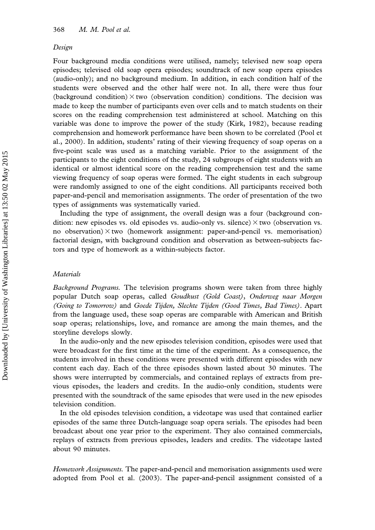## *Design*

Four background media conditions were utilised, namely; televised new soap opera episodes; televised old soap opera episodes; soundtrack of new soap opera episodes (audio-only); and no background medium. In addition, in each condition half of the students were observed and the other half were not. In all, there were thus four (background condition)  $\times$  two (observation condition) conditions. The decision was made to keep the number of participants even over cells and to match students on their scores on the reading comprehension test administered at school. Matching on this variable was done to improve the power of the study (Kirk, 1982), because reading comprehension and homework performance have been shown to be correlated (Pool et al., 2000). In addition, students' rating of their viewing frequency of soap operas on a five-point scale was used as a matching variable. Prior to the assignment of the participants to the eight conditions of the study, 24 subgroups of eight students with an identical or almost identical score on the reading comprehension test and the same viewing frequency of soap operas were formed. The eight students in each subgroup were randomly assigned to one of the eight conditions. All participants received both paper-and-pencil and memorisation assignments. The order of presentation of the two types of assignments was systematically varied.

Including the type of assignment, the overall design was a four (background condition: new episodes vs. old episodes vs. audio-only vs. silence)  $\times$  two (observation vs. no observation) $\times$ two (homework assignment: paper-and-pencil vs. memorisation) factorial design, with background condition and observation as between-subjects factors and type of homework as a within-subjects factor.

## *Materials*

*Background Programs.* The television programs shown were taken from three highly popular Dutch soap operas, called *Goudkust (Gold Coast)*, *Onderweg naar Morgen (Going to Tomorrow)* and *Goede Tijden, Slechte Tijden (Good Times, Bad Times)*. Apart from the language used, these soap operas are comparable with American and British soap operas; relationships, love, and romance are among the main themes, and the storyline develops slowly.

In the audio-only and the new episodes television condition, episodes were used that were broadcast for the first time at the time of the experiment. As a consequence, the students involved in these conditions were presented with different episodes with new content each day. Each of the three episodes shown lasted about 30 minutes. The shows were interrupted by commercials, and contained replays of extracts from previous episodes, the leaders and credits. In the audio-only condition, students were presented with the soundtrack of the same episodes that were used in the new episodes television condition.

In the old episodes television condition, a videotape was used that contained earlier episodes of the same three Dutch-language soap opera serials. The episodes had been broadcast about one year prior to the experiment. They also contained commercials, replays of extracts from previous episodes, leaders and credits. The videotape lasted about 90 minutes.

*Homework Assignments.* The paper-and-pencil and memorisation assignments used were adopted from Pool et al. (2003). The paper-and-pencil assignment consisted of a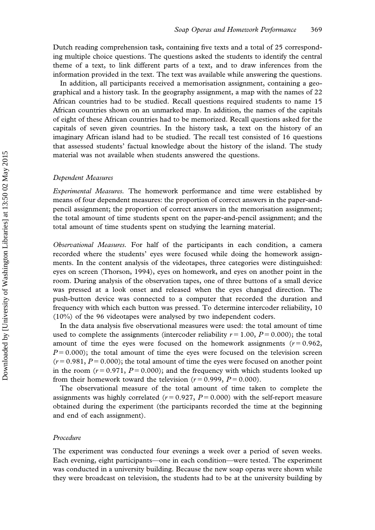Dutch reading comprehension task, containing five texts and a total of 25 corresponding multiple choice questions. The questions asked the students to identify the central theme of a text, to link different parts of a text, and to draw inferences from the information provided in the text. The text was available while answering the questions.

In addition, all participants received a memorisation assignment, containing a geographical and a history task. In the geography assignment, a map with the names of 22 African countries had to be studied. Recall questions required students to name 15 African countries shown on an unmarked map. In addition, the names of the capitals of eight of these African countries had to be memorized. Recall questions asked for the capitals of seven given countries. In the history task, a text on the history of an imaginary African island had to be studied. The recall test consisted of 16 questions that assessed students' factual knowledge about the history of the island. The study material was not available when students answered the questions.

# *Dependent Measures*

*Experimental Measures.* The homework performance and time were established by means of four dependent measures: the proportion of correct answers in the paper-andpencil assignment; the proportion of correct answers in the memorisation assignment; the total amount of time students spent on the paper-and-pencil assignment; and the total amount of time students spent on studying the learning material.

*Observational Measures.* For half of the participants in each condition, a camera recorded where the students' eyes were focused while doing the homework assignments. In the content analysis of the videotapes, three categories were distinguished: eyes on screen (Thorson, 1994), eyes on homework, and eyes on another point in the room. During analysis of the observation tapes, one of three buttons of a small device was pressed at a look onset and released when the eyes changed direction. The push-button device was connected to a computer that recorded the duration and frequency with which each button was pressed. To determine intercoder reliability, 10 (10%) of the 96 videotapes were analysed by two independent coders.

In the data analysis five observational measures were used: the total amount of time used to complete the assignments (intercoder reliability  $r = 1.00$ ,  $P = 0.000$ ); the total amount of time the eyes were focused on the homework assignments  $(r = 0.962,$  $P = 0.000$ ; the total amount of time the eyes were focused on the television screen  $(r = 0.981, P = 0.000)$ ; the total amount of time the eyes were focused on another point in the room  $(r = 0.971, P = 0.000)$ ; and the frequency with which students looked up from their homework toward the television  $(r = 0.999, P = 0.000)$ .

The observational measure of the total amount of time taken to complete the assignments was highly correlated  $(r = 0.927, P = 0.000)$  with the self-report measure obtained during the experiment (the participants recorded the time at the beginning and end of each assignment).

#### *Procedure*

The experiment was conducted four evenings a week over a period of seven weeks. Each evening, eight participants—one in each condition—were tested. The experiment was conducted in a university building. Because the new soap operas were shown while they were broadcast on television, the students had to be at the university building by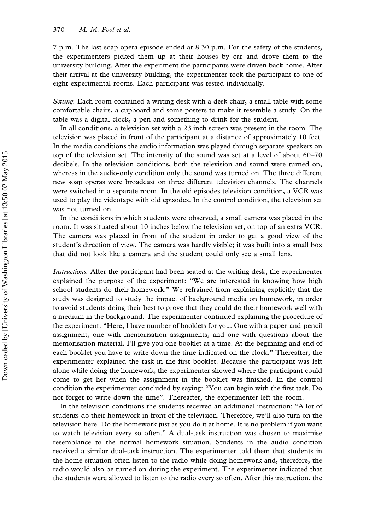7 p.m. The last soap opera episode ended at 8.30 p.m. For the safety of the students, the experimenters picked them up at their houses by car and drove them to the university building. After the experiment the participants were driven back home. After their arrival at the university building, the experimenter took the participant to one of eight experimental rooms. Each participant was tested individually.

*Setting.* Each room contained a writing desk with a desk chair, a small table with some comfortable chairs, a cupboard and some posters to make it resemble a study. On the table was a digital clock, a pen and something to drink for the student.

In all conditions, a television set with a 23 inch screen was present in the room. The television was placed in front of the participant at a distance of approximately 10 feet. In the media conditions the audio information was played through separate speakers on top of the television set. The intensity of the sound was set at a level of about 60–70 decibels. In the television conditions, both the television and sound were turned on, whereas in the audio-only condition only the sound was turned on. The three different new soap operas were broadcast on three different television channels. The channels were switched in a separate room. In the old episodes television condition, a VCR was used to play the videotape with old episodes. In the control condition, the television set was not turned on.

In the conditions in which students were observed, a small camera was placed in the room. It was situated about 10 inches below the television set, on top of an extra VCR. The camera was placed in front of the student in order to get a good view of the student's direction of view. The camera was hardly visible; it was built into a small box that did not look like a camera and the student could only see a small lens.

*Instructions.* After the participant had been seated at the writing desk, the experimenter explained the purpose of the experiment: "We are interested in knowing how high school students do their homework." We refrained from explaining explicitly that the study was designed to study the impact of background media on homework, in order to avoid students doing their best to prove that they could do their homework well with a medium in the background. The experimenter continued explaining the procedure of the experiment: "Here, I have number of booklets for you. One with a paper-and-pencil assignment, one with memorisation assignments, and one with questions about the memorisation material. I'll give you one booklet at a time. At the beginning and end of each booklet you have to write down the time indicated on the clock." Thereafter, the experimenter explained the task in the first booklet. Because the participant was left alone while doing the homework, the experimenter showed where the participant could come to get her when the assignment in the booklet was finished. In the control condition the experimenter concluded by saying: "You can begin with the first task. Do not forget to write down the time". Thereafter, the experimenter left the room.

In the television conditions the students received an additional instruction: "A lot of students do their homework in front of the television. Therefore, we'll also turn on the television here. Do the homework just as you do it at home. It is no problem if you want to watch television every so often." A dual-task instruction was chosen to maximise resemblance to the normal homework situation. Students in the audio condition received a similar dual-task instruction. The experimenter told them that students in the home situation often listen to the radio while doing homework and, therefore, the radio would also be turned on during the experiment. The experimenter indicated that the students were allowed to listen to the radio every so often. After this instruction, the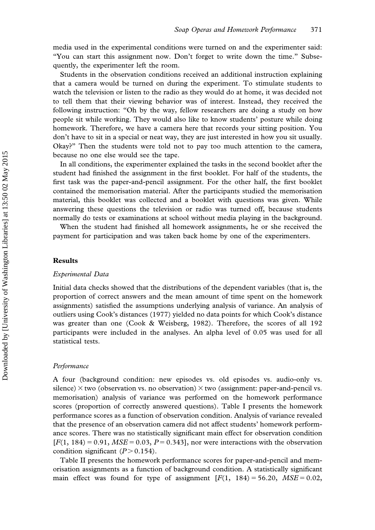media used in the experimental conditions were turned on and the experimenter said: "You can start this assignment now. Don't forget to write down the time." Subsequently, the experimenter left the room.

Students in the observation conditions received an additional instruction explaining that a camera would be turned on during the experiment. To stimulate students to watch the television or listen to the radio as they would do at home, it was decided not to tell them that their viewing behavior was of interest. Instead, they received the following instruction: "Oh by the way, fellow researchers are doing a study on how people sit while working. They would also like to know students' posture while doing homework. Therefore, we have a camera here that records your sitting position. You don't have to sit in a special or neat way, they are just interested in how you sit usually. Okay?" Then the students were told not to pay too much attention to the camera, because no one else would see the tape.

In all conditions, the experimenter explained the tasks in the second booklet after the student had finished the assignment in the first booklet. For half of the students, the first task was the paper-and-pencil assignment. For the other half, the first booklet contained the memorisation material. After the participants studied the memorisation material, this booklet was collected and a booklet with questions was given. While answering these questions the television or radio was turned off, because students normally do tests or examinations at school without media playing in the background.

When the student had finished all homework assignments, he or she received the payment for participation and was taken back home by one of the experimenters.

## **Results**

## *Experimental Data*

Initial data checks showed that the distributions of the dependent variables (that is, the proportion of correct answers and the mean amount of time spent on the homework assignments) satisfied the assumptions underlying analysis of variance. An analysis of outliers using Cook's distances (1977) yielded no data points for which Cook's distance was greater than one (Cook & Weisberg, 1982). Therefore, the scores of all 192 participants were included in the analyses. An alpha level of 0.05 was used for all statistical tests.

## *Performance*

A four (background condition: new episodes vs. old episodes vs. audio-only vs. silence)  $\times$  two (observation vs. no observation)  $\times$  two (assignment: paper-and-pencil vs. memorisation) analysis of variance was performed on the homework performance scores (proportion of correctly answered questions). Table I presents the homework performance scores as a function of observation condition. Analysis of variance revealed that the presence of an observation camera did not affect students' homework performance scores. There was no statistically significant main effect for observation condition  $[F(1, 184) = 0.91, MSE = 0.03, P = 0.343]$ , nor were interactions with the observation condition significant  $(P > 0.154)$ .

Table II presents the homework performance scores for paper-and-pencil and memorisation assignments as a function of background condition. A statistically significant main effect was found for type of assignment  $[F(1, 184) = 56.20, MSE = 0.02$ ,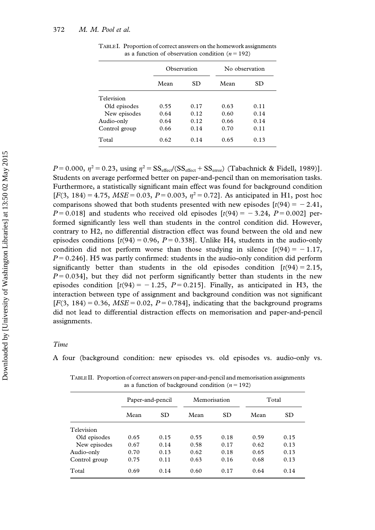|               |      | Observation | No observation |      |  |
|---------------|------|-------------|----------------|------|--|
|               | Mean | <b>SD</b>   | Mean           | SD   |  |
| Television    |      |             |                |      |  |
| Old episodes  | 0.55 | 0.17        | 0.63           | 0.11 |  |
| New episodes  | 0.64 | 0.12        | 0.60           | 0.14 |  |
| Audio-only    | 0.64 | 0.12        | 0.66           | 0.14 |  |
| Control group | 0.66 | 0.14        | 0.70           | 0.11 |  |
| Total         | 0.62 | 0.14        | 0.65           | 0.13 |  |

TABLE I. Proportion of correct answers on the homework assignments as a function of observation condition  $(n = 192)$ 

 $P = 0.000, \eta^2 = 0.23$ , using  $\eta^2 = SS_{\text{effect}}/(SS_{\text{effect}} + SS_{\text{error}})$  (Tabachnick & Fidell, 1989)]. Students on average performed better on paper-and-pencil than on memorisation tasks. Furthermore, a statistically significant main effect was found for background condition  $[F(3, 184) = 4.75, MSE = 0.03, P = 0.003, \eta^2 = 0.72]$ . As anticipated in H1, post hoc comparisons showed that both students presented with new episodes  $[t(94) = -2.41$ ,  $P = 0.018$ ] and students who received old episodes  $[t(94) = -3.24, P = 0.002]$  performed significantly less well than students in the control condition did. However, contrary to H2, no differential distraction effect was found between the old and new episodes conditions  $[t(94) = 0.96, P = 0.338]$ . Unlike H4, students in the audio-only condition did not perform worse than those studying in silence  $[t(94) = -1.17$ ,  $P = 0.246$ . H5 was partly confirmed: students in the audio-only condition did perform significantly better than students in the old episodes condition  $[t(94) = 2.15]$ ,  $P = 0.034$ , but they did not perform significantly better than students in the new episodes condition  $[t(94) = -1.25, P = 0.215]$ . Finally, as anticipated in H3, the interaction between type of assignment and background condition was not significant  $[F(3, 184) = 0.36, MSE = 0.02, P = 0.784]$ , indicating that the background programs did not lead to differential distraction effects on memorisation and paper-and-pencil assignments.

#### *Time*

A four (background condition: new episodes vs. old episodes vs. audio-only vs.

TABLEII. Proportion of correct answers on paper-and-pencil and memorisation assignments as a function of background condition  $(n = 192)$ 

|               | Paper-and-pencil |           | Memorisation |      | Total |           |
|---------------|------------------|-----------|--------------|------|-------|-----------|
|               | Mean             | <b>SD</b> | Mean         | SD.  | Mean  | <b>SD</b> |
| Television    |                  |           |              |      |       |           |
| Old episodes  | 0.65             | 0.15      | 0.55         | 0.18 | 0.59  | 0.15      |
| New episodes  | 0.67             | 0.14      | 0.58         | 0.17 | 0.62  | 0.13      |
| Audio-only    | 0.70             | 0.13      | 0.62         | 0.18 | 0.65  | 0.13      |
| Control group | 0.75             | 0.11      | 0.63         | 0.16 | 0.68  | 0.13      |
| Total         | 0.69             | 0.14      | 0.60         | 0.17 | 0.64  | 0.14      |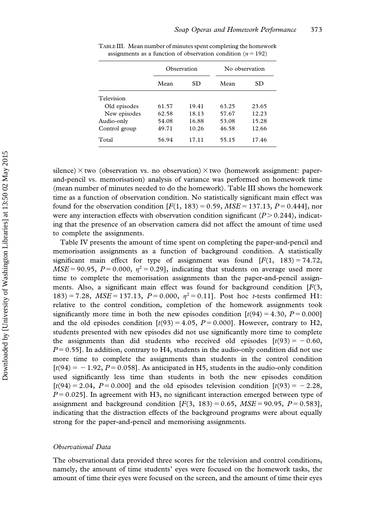|               | Observation |       | No observation |       |  |
|---------------|-------------|-------|----------------|-------|--|
|               | Mean        | SD    | Mean           | SD    |  |
| Television    |             |       |                |       |  |
| Old episodes  | 61.57       | 19.41 | 63.25          | 23.65 |  |
| New episodes  | 62.58       | 18.13 | 57.67          | 12.23 |  |
| Audio-only    | 54.08       | 16.88 | 53.08          | 15.28 |  |
| Control group | 49.71       | 10.26 | 46.58          | 12.66 |  |
| Total         | 56.94       | 17.11 | 55.15          | 17.46 |  |

TABLE III. Mean number of minutes spent completing the homework assignments as a function of observation condition  $(n = 192)$ 

silence)  $\times$  two (observation vs. no observation)  $\times$  two (homework assignment: paperand-pencil vs. memorisation) analysis of variance was performed on homework time (mean number of minutes needed to do the homework). Table III shows the homework time as a function of observation condition. No statistically significant main effect was found for the observation condition  $[F(1, 183) = 0.59, MSE = 137.13, P = 0.444]$ , nor were any interaction effects with observation condition significant  $(P > 0.244)$ , indicating that the presence of an observation camera did not affect the amount of time used to complete the assignments.

Table IV presents the amount of time spent on completing the paper-and-pencil and memorisation assignments as a function of background condition. A statistically significant main effect for type of assignment was found  $[F(1, 183) = 74.72$ ,  $MSE = 90.95$ ,  $P = 0.000$ ,  $\eta^2 = 0.29$ ], indicating that students on average used more time to complete the memorisation assignments than the paper-and-pencil assignments. Also, a significant main effect was found for background condition [*F*(3, 183) = 7.28,  $MSE = 137.13$ ,  $P = 0.000$ ,  $\eta^2 = 0.11$ ]. Post hoc *t*-tests confirmed H1: relative to the control condition, completion of the homework assignments took significantly more time in both the new episodes condition  $[t(94) = 4.30, P = 0.000]$ and the old episodes condition  $[t(93) = 4.05, P = 0.000]$ . However, contrary to H2, students presented with new episodes did not use significantly more time to complete the assignments than did students who received old episodes  $[t(93) = -0.60,$  $P = 0.55$ ]. In addition, contrary to H4, students in the audio-only condition did not use more time to complete the assignments than students in the control condition  $[t(94) = -1.92, P = 0.058]$ . As anticipated in H5, students in the audio-only condition used significantly less time than students in both the new episodes condition  $[t(94) = 2.04, P = 0.000]$  and the old episodes television condition  $[t(93) = -2.28$ ,  $P = 0.025$ . In agreement with H3, no significant interaction emerged between type of assignment and background condition  $[F(3, 183) = 0.65, MSE = 90.95, P = 0.583]$ , indicating that the distraction effects of the background programs were about equally strong for the paper-and-pencil and memorising assignments.

# *Observational Data*

The observational data provided three scores for the television and control conditions, namely, the amount of time students' eyes were focused on the homework tasks, the amount of time their eyes were focused on the screen, and the amount of time their eyes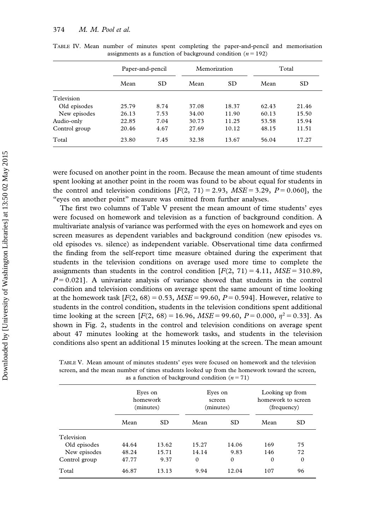|               | Paper-and-pencil |           | Memorization |           | Total |           |
|---------------|------------------|-----------|--------------|-----------|-------|-----------|
|               | Mean             | <b>SD</b> | Mean         | <b>SD</b> | Mean  | <b>SD</b> |
| Television    |                  |           |              |           |       |           |
| Old episodes  | 25.79            | 8.74      | 37.08        | 18.37     | 62.43 | 21.46     |
| New episodes  | 26.13            | 7.53      | 34.00        | 11.90     | 60.13 | 15.50     |
| Audio-only    | 22.85            | 7.04      | 30.73        | 11.25     | 53.58 | 15.94     |
| Control group | 20.46            | 4.67      | 27.69        | 10.12     | 48.15 | 11.51     |
| Total         | 23.80            | 7.45      | 32.38        | 13.67     | 56.04 | 17.27     |

TABLE IV. Mean number of minutes spent completing the paper-and-pencil and memorisation assignments as a function of background condition  $(n = 192)$ 

were focused on another point in the room. Because the mean amount of time students spent looking at another point in the room was found to be about equal for students in the control and television conditions  $[F(2, 71) = 2.93, MSE = 3.29, P = 0.060]$ , the "eyes on another point" measure was omitted from further analyses.

The first two columns of Table V present the mean amount of time students' eyes were focused on homework and television as a function of background condition. A multivariate analysis of variance was performed with the eyes on homework and eyes on screen measures as dependent variables and background condition (new episodes vs. old episodes vs. silence) as independent variable. Observational time data confirmed the finding from the self-report time measure obtained during the experiment that students in the television conditions on average used more time to complete the assignments than students in the control condition  $[F(2, 71) = 4.11, MSE = 310.89$ ,  $P = 0.021$ . A univariate analysis of variance showed that students in the control condition and television conditions on average spent the same amount of time looking at the homework task  $[F(2, 68) = 0.53, MSE = 99.60, P = 0.594]$ . However, relative to students in the control condition, students in the television conditions spent additional time looking at the screen  $[F(2, 68) = 16.96, MSE = 99.60, P = 0.000, \eta^2 = 0.33]$ . As shown in Fig. 2, students in the control and television conditions on average spent about 47 minutes looking at the homework tasks, and students in the television conditions also spent an additional 15 minutes looking at the screen. The mean amount

TABLE V. Mean amount of minutes students' eyes were focused on homework and the television screen, and the mean number of times students looked up from the homework toward the screen, as a function of background condition  $(n = 71)$ 

|               | Eyes on<br>homework<br>(minutes) |           | Eves on<br>screen<br>(minutes) |              | Looking up from<br>homework to screen<br>(frequency) |              |
|---------------|----------------------------------|-----------|--------------------------------|--------------|------------------------------------------------------|--------------|
|               | Mean                             | <b>SD</b> | Mean                           | SD.          | Mean                                                 | <b>SD</b>    |
| Television    |                                  |           |                                |              |                                                      |              |
| Old episodes  | 44.64                            | 13.62     | 15.27                          | 14.06        | 169                                                  | 75           |
| New episodes  | 48.24                            | 15.71     | 14.14                          | 9.83         | 146                                                  | 72           |
| Control group | 47.77                            | 9.37      | $\mathbf{0}$                   | $\mathbf{0}$ | $\mathbf{0}$                                         | $\mathbf{0}$ |
| Total         | 46.87                            | 13.13     | 9.94                           | 12.04        | 107                                                  | 96           |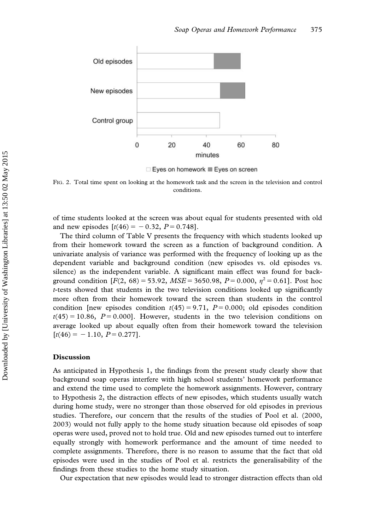

Eyes on homework Eyes on screen

FIG. 2. Total time spent on looking at the homework task and the screen in the television and control conditions.

of time students looked at the screen was about equal for students presented with old and new episodes  $[t(46) = -0.32, P = 0.748]$ .

The third column of Table V presents the frequency with which students looked up from their homework toward the screen as a function of background condition. A univariate analysis of variance was performed with the frequency of looking up as the dependent variable and background condition (new episodes vs. old episodes vs. silence) as the independent variable. A significant main effect was found for background condition  $[F(2, 68) = 53.92, MSE = 3650.98, P = 0.000, \eta^2 = 0.61]$ . Post hoc *t*-tests showed that students in the two television conditions looked up significantly more often from their homework toward the screen than students in the control condition [new episodes condition  $t(45) = 9.71$ ,  $P = 0.000$ ; old episodes condition  $t(45) = 10.86$ ,  $P = 0.000$ . However, students in the two television conditions on average looked up about equally often from their homework toward the television  $[t(46) = -1.10, P = 0.277].$ 

## **Discussion**

As anticipated in Hypothesis 1, the findings from the present study clearly show that background soap operas interfere with high school students' homework performance and extend the time used to complete the homework assignments. However, contrary to Hypothesis 2, the distraction effects of new episodes, which students usually watch during home study, were no stronger than those observed for old episodes in previous studies. Therefore, our concern that the results of the studies of Pool et al. (2000, 2003) would not fully apply to the home study situation because old episodes of soap operas were used, proved not to hold true. Old and new episodes turned out to interfere equally strongly with homework performance and the amount of time needed to complete assignments. Therefore, there is no reason to assume that the fact that old episodes were used in the studies of Pool et al. restricts the generalisability of the findings from these studies to the home study situation.

Our expectation that new episodes would lead to stronger distraction effects than old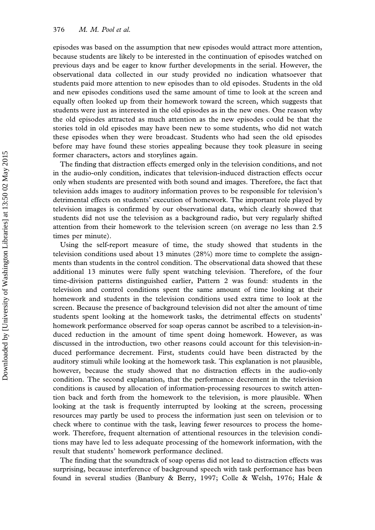episodes was based on the assumption that new episodes would attract more attention, because students are likely to be interested in the continuation of episodes watched on previous days and be eager to know further developments in the serial. However, the observational data collected in our study provided no indication whatsoever that students paid more attention to new episodes than to old episodes. Students in the old and new episodes conditions used the same amount of time to look at the screen and equally often looked up from their homework toward the screen, which suggests that students were just as interested in the old episodes as in the new ones. One reason why the old episodes attracted as much attention as the new episodes could be that the stories told in old episodes may have been new to some students, who did not watch these episodes when they were broadcast. Students who had seen the old episodes before may have found these stories appealing because they took pleasure in seeing former characters, actors and storylines again.

The finding that distraction effects emerged only in the television conditions, and not in the audio-only condition, indicates that television-induced distraction effects occur only when students are presented with both sound and images. Therefore, the fact that television adds images to auditory information proves to be responsible for television's detrimental effects on students' execution of homework. The important role played by television images is confirmed by our observational data, which clearly showed that students did not use the television as a background radio, but very regularly shifted attention from their homework to the television screen (on average no less than 2.5 times per minute).

Using the self-report measure of time, the study showed that students in the television conditions used about 13 minutes (28%) more time to complete the assignments than students in the control condition. The observational data showed that these additional 13 minutes were fully spent watching television. Therefore, of the four time-division patterns distinguished earlier, Pattern 2 was found: students in the television and control conditions spent the same amount of time looking at their homework and students in the television conditions used extra time to look at the screen. Because the presence of background television did not alter the amount of time students spent looking at the homework tasks, the detrimental effects on students' homework performance observed for soap operas cannot be ascribed to a television-induced reduction in the amount of time spent doing homework. However, as was discussed in the introduction, two other reasons could account for this television-induced performance decrement. First, students could have been distracted by the auditory stimuli while looking at the homework task. This explanation is not plausible, however, because the study showed that no distraction effects in the audio-only condition. The second explanation, that the performance decrement in the television conditions is caused by allocation of information-processing resources to switch attention back and forth from the homework to the television, is more plausible. When looking at the task is frequently interrupted by looking at the screen, processing resources may partly be used to process the information just seen on television or to check where to continue with the task, leaving fewer resources to process the homework. Therefore, frequent alternation of attentional resources in the television conditions may have led to less adequate processing of the homework information, with the result that students' homework performance declined.

The finding that the soundtrack of soap operas did not lead to distraction effects was surprising, because interference of background speech with task performance has been found in several studies (Banbury & Berry, 1997; Colle & Welsh, 1976; Hale &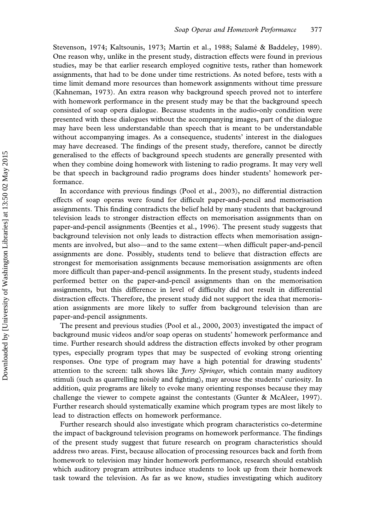Stevenson, 1974; Kaltsounis, 1973; Martin et al., 1988; Salame´ & Baddeley, 1989). One reason why, unlike in the present study, distraction effects were found in previous studies, may be that earlier research employed cognitive tests, rather than homework assignments, that had to be done under time restrictions. As noted before, tests with a time limit demand more resources than homework assignments without time pressure (Kahneman, 1973). An extra reason why background speech proved not to interfere with homework performance in the present study may be that the background speech consisted of soap opera dialogue. Because students in the audio-only condition were presented with these dialogues without the accompanying images, part of the dialogue may have been less understandable than speech that is meant to be understandable without accompanying images. As a consequence, students' interest in the dialogues may have decreased. The findings of the present study, therefore, cannot be directly generalised to the effects of background speech students are generally presented with when they combine doing homework with listening to radio programs. It may very well be that speech in background radio programs does hinder students' homework performance.

In accordance with previous findings (Pool et al., 2003), no differential distraction effects of soap operas were found for difficult paper-and-pencil and memorisation assignments. This finding contradicts the belief held by many students that background television leads to stronger distraction effects on memorisation assignments than on paper-and-pencil assignments (Beentjes et al., 1996). The present study suggests that background television not only leads to distraction effects when memorisation assignments are involved, but also—and to the same extent—when difficult paper-and-pencil assignments are done. Possibly, students tend to believe that distraction effects are strongest for memorisation assignments because memorisation assignments are often more difficult than paper-and-pencil assignments. In the present study, students indeed performed better on the paper-and-pencil assignments than on the memorisation assignments, but this difference in level of difficulty did not result in differential distraction effects. Therefore, the present study did not support the idea that memorisation assignments are more likely to suffer from background television than are paper-and-pencil assignments.

The present and previous studies (Pool et al., 2000, 2003) investigated the impact of background music videos and/or soap operas on students' homework performance and time. Further research should address the distraction effects invoked by other program types, especially program types that may be suspected of evoking strong orienting responses. One type of program may have a high potential for drawing students' attention to the screen: talk shows like *Jerry Springer*, which contain many auditory stimuli (such as quarrelling noisily and fighting), may arouse the students' curiosity. In addition, quiz programs are likely to evoke many orienting responses because they may challenge the viewer to compete against the contestants (Gunter & McAleer, 1997). Further research should systematically examine which program types are most likely to lead to distraction effects on homework performance.

Further research should also investigate which program characteristics co-determine the impact of background television programs on homework performance. The findings of the present study suggest that future research on program characteristics should address two areas. First, because allocation of processing resources back and forth from homework to television may hinder homework performance, research should establish which auditory program attributes induce students to look up from their homework task toward the television. As far as we know, studies investigating which auditory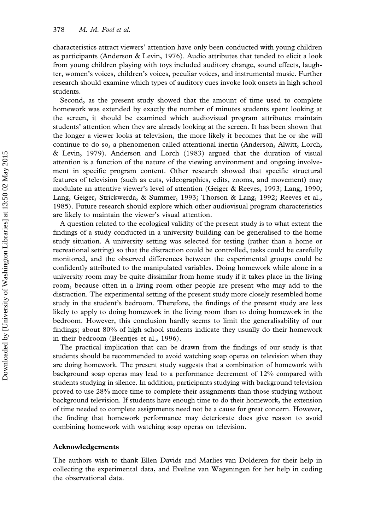characteristics attract viewers' attention have only been conducted with young children as participants (Anderson & Levin, 1976). Audio attributes that tended to elicit a look from young children playing with toys included auditory change, sound effects, laughter, women's voices, children's voices, peculiar voices, and instrumental music. Further research should examine which types of auditory cues invoke look onsets in high school students.

Second, as the present study showed that the amount of time used to complete homework was extended by exactly the number of minutes students spent looking at the screen, it should be examined which audiovisual program attributes maintain students' attention when they are already looking at the screen. It has been shown that the longer a viewer looks at television, the more likely it becomes that he or she will continue to do so, a phenomenon called attentional inertia (Anderson, Alwitt, Lorch, & Levin, 1979). Anderson and Lorch (1983) argued that the duration of visual attention is a function of the nature of the viewing environment and ongoing involvement in specific program content. Other research showed that specific structural features of television (such as cuts, videographics, edits, zooms, and movement) may modulate an attentive viewer's level of attention (Geiger & Reeves, 1993; Lang, 1990; Lang, Geiger, Strickwerda, & Summer, 1993; Thorson & Lang, 1992; Reeves et al., 1985). Future research should explore which other audiovisual program characteristics are likely to maintain the viewer's visual attention.

A question related to the ecological validity of the present study is to what extent the findings of a study conducted in a university building can be generalised to the home study situation. A university setting was selected for testing (rather than a home or recreational setting) so that the distraction could be controlled, tasks could be carefully monitored, and the observed differences between the experimental groups could be confidently attributed to the manipulated variables. Doing homework while alone in a university room may be quite dissimilar from home study if it takes place in the living room, because often in a living room other people are present who may add to the distraction. The experimental setting of the present study more closely resembled home study in the student's bedroom. Therefore, the findings of the present study are less likely to apply to doing homework in the living room than to doing homework in the bedroom. However, this conclusion hardly seems to limit the generalisability of our findings; about 80% of high school students indicate they usually do their homework in their bedroom (Beentjes et al., 1996).

The practical implication that can be drawn from the findings of our study is that students should be recommended to avoid watching soap operas on television when they are doing homework. The present study suggests that a combination of homework with background soap operas may lead to a performance decrement of 12% compared with students studying in silence. In addition, participants studying with background television proved to use 28% more time to complete their assignments than those studying without background television. If students have enough time to do their homework, the extension of time needed to complete assignments need not be a cause for great concern. However, the finding that homework performance may deteriorate does give reason to avoid combining homework with watching soap operas on television.

### **Acknowledgements**

The authors wish to thank Ellen Davids and Marlies van Dolderen for their help in collecting the experimental data, and Eveline van Wageningen for her help in coding the observational data.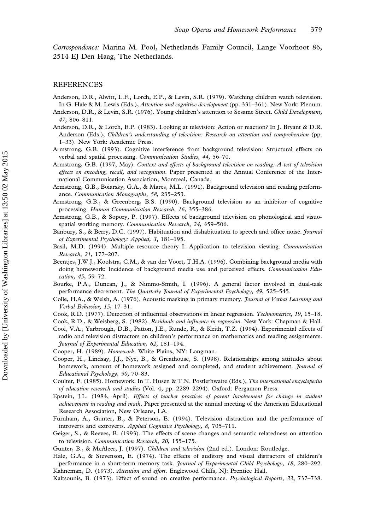*Correspondence:* Marina M. Pool, Netherlands Family Council, Lange Voorhoot 86, 2514 EJ Den Haag, The Netherlands.

#### REFERENCES

- Anderson, D.R., Alwitt, L.F., Lorch, E.P., & Levin, S.R. (1979). Watching children watch television. In G. Hale & M. Lewis (Eds.), *Attention and cognitive development* (pp. 331–361). New York: Plenum.
- Anderson, D.R., & Levin, S.R. (1976). Young children's attention to Sesame Street. *Child Development, 47*, 806–811.
- Anderson, D.R., & Lorch, E.P. (1983). Looking at television: Action or reaction? In J. Bryant & D.R. Anderson (Eds.), *Children's understanding of television: Research on attention and comprehension* (pp. 1–33). New York: Academic Press.
- Armstrong, G.B. (1993). Cognitive interference from background television: Structural effects on verbal and spatial processing. *Communication Studies, 44*, 56–70.
- Armstrong, G.B. (1997, May). *Context and effects of background television on reading: A test of television effects on encoding, recall, and recognition*. Paper presented at the Annual Conference of the International Communication Association, Montreal, Canada.
- Armstrong, G.B., Boiarsky, G.A., & Mares, M.L. (1991). Background television and reading performance. *Communication Monographs, 58*, 235–253.
- Armstrong, G.B., & Greenberg, B.S. (1990). Background television as an inhibitor of cognitive processing. *Human Communication Research, 16*, 355–386.
- Armstrong, G.B., & Sopory, P. (1997). Effects of background television on phonological and visuospatial working memory. *Communication Research, 24*, 459–506.
- Banbury, S., & Berry, D.C. (1997). Habituation and dishabituation to speech and office noise. *Journal of Experimental Psychology: Applied, 3*, 181–195.
- Basil, M.D. (1994). Multiple resource theory I: Application to television viewing. *Communication Research, 21*, 177–207.
- Beentjes, J.W.J., Koolstra, C.M., & van der Voort, T.H.A. (1996). Combining background media with doing homework: Incidence of background media use and perceived effects. *Communication Education, 45*, 59–72.
- Bourke, P.A., Duncan, J., & Nimmo-Smith, I. (1996). A general factor involved in dual-task performance decrement. *The Quarterly Journal of Experimental Psychology, 49*, 525–545.
- Colle, H.A., & Welsh, A. (1976). Acoustic masking in primary memory. *Journal of Verbal Learning and Verbal Behavior, 15*, 17–31.
- Cook, R.D. (1977). Detection of influential observations in linear regression. *Technometrics, 19*, 15–18.
- Cook, R.D., & Weisberg, S. (1982). *Residuals and influence in regression*. New York: Chapman & Hall.
- Cool, V.A., Yarbrough, D.B., Patton, J.E., Runde, R., & Keith, T.Z. (1994). Experimental effects of radio and television distractors on children's performance on mathematics and reading assignments. *Journal of Experimental Education, 62*, 181–194.
- Cooper, H. (1989). *Homework*. White Plains, NY: Longman.
- Cooper, H., Lindsay, J.J., Nye, B., & Greathouse, S. (1998). Relationships among attitudes about homework, amount of homework assigned and completed, and student achievement. *Journal of Educational Psychology, 90*, 70–83.
- Coulter, F. (1985). Homework. In T. Husen & T.N. Postlethwaite (Eds.), *The international encyclopedia of education research and studies* (Vol. 4, pp. 2289–2294). Oxford: Pergamon Press.
- Epstein, J.L. (1984, April). *Effects of teacher practices of parent involvement for change in student achievement in reading and math*. Paper presented at the annual meeting of the American Educational Research Association, New Orleans, LA.
- Furnham, A., Gunter, B., & Peterson, E. (1994). Television distraction and the performance of introverts and extroverts. *Applied Cognitive Psychology, 8*, 705–711.
- Geiger, S., & Reeves, B. (1993). The effects of scene changes and semantic relatedness on attention to television. *Communication Research, 20*, 155–175.
- Gunter, B., & McAleer, J. (1997). *Children and television* (2nd ed.). London: Routledge.
- Hale, G.A., & Stevenson, E. (1974). The effects of auditory and visual distractors of children's performance in a short-term memory task. *Journal of Experimental Child Psychology, 18*, 280–292. Kahneman, D. (1973). *Attention and effort*. Englewood Cliffs, NJ: Prentice Hall.
- Kaltsounis, B. (1973). Effect of sound on creative performance. *Psychological Reports, 33*, 737–738.